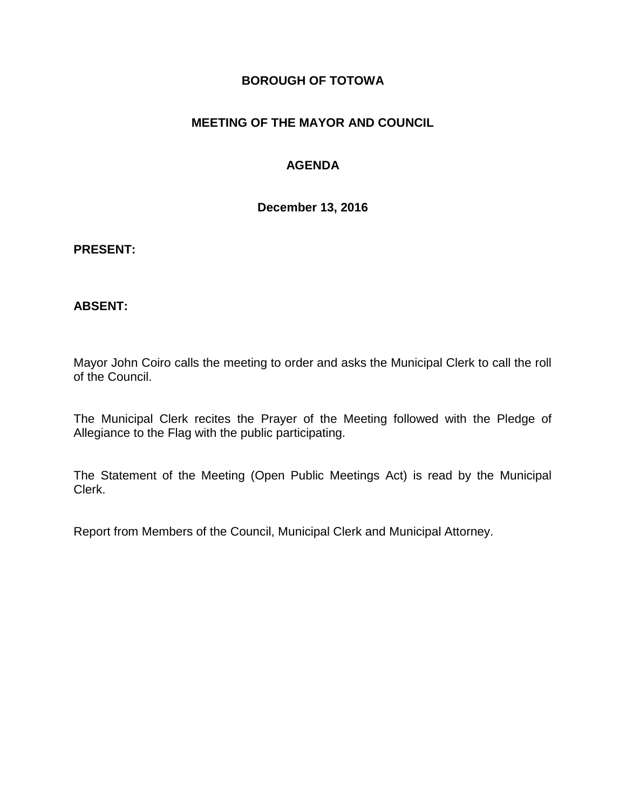### **BOROUGH OF TOTOWA**

## **MEETING OF THE MAYOR AND COUNCIL**

## **AGENDA**

**December 13, 2016**

#### **PRESENT:**

#### **ABSENT:**

Mayor John Coiro calls the meeting to order and asks the Municipal Clerk to call the roll of the Council.

The Municipal Clerk recites the Prayer of the Meeting followed with the Pledge of Allegiance to the Flag with the public participating.

The Statement of the Meeting (Open Public Meetings Act) is read by the Municipal Clerk.

Report from Members of the Council, Municipal Clerk and Municipal Attorney.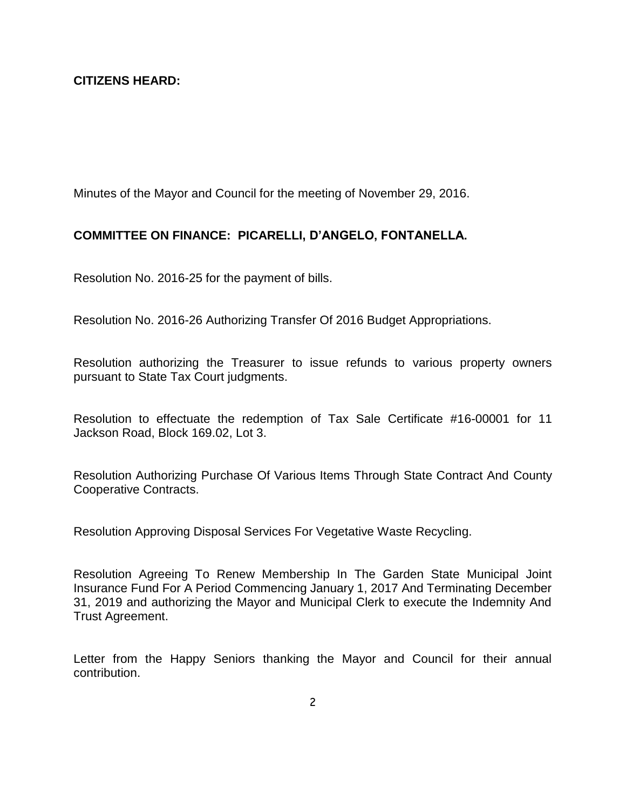Minutes of the Mayor and Council for the meeting of November 29, 2016.

### **COMMITTEE ON FINANCE: PICARELLI, D'ANGELO, FONTANELLA.**

Resolution No. 2016-25 for the payment of bills.

Resolution No. 2016-26 Authorizing Transfer Of 2016 Budget Appropriations.

Resolution authorizing the Treasurer to issue refunds to various property owners pursuant to State Tax Court judgments.

Resolution to effectuate the redemption of Tax Sale Certificate #16-00001 for 11 Jackson Road, Block 169.02, Lot 3.

Resolution Authorizing Purchase Of Various Items Through State Contract And County Cooperative Contracts.

Resolution Approving Disposal Services For Vegetative Waste Recycling.

Resolution Agreeing To Renew Membership In The Garden State Municipal Joint Insurance Fund For A Period Commencing January 1, 2017 And Terminating December 31, 2019 and authorizing the Mayor and Municipal Clerk to execute the Indemnity And Trust Agreement.

Letter from the Happy Seniors thanking the Mayor and Council for their annual contribution.